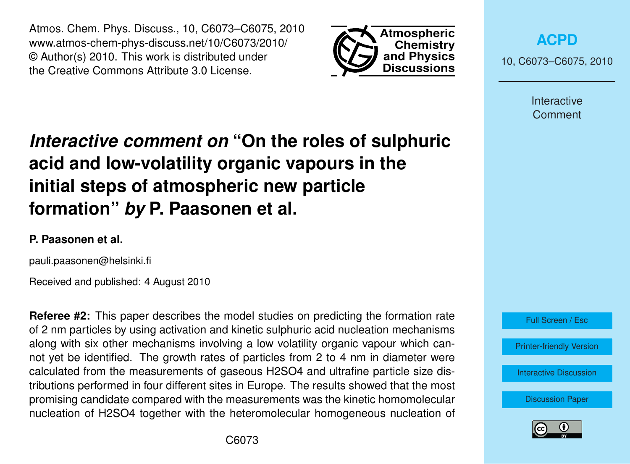Atmos. Chem. Phys. Discuss., 10, C6073–C6075, 2010 www.atmos-chem-phys-discuss.net/10/C6073/2010/ © Author(s) 2010. This work is distributed under the Creative Commons Attribute 3.0 License.



**[ACPD](http://www.atmos-chem-phys-discuss.net)**

10, C6073–C6075, 2010

Interactive Comment

## *Interactive comment on* **"On the roles of sulphuric acid and low-volatility organic vapours in the initial steps of atmospheric new particle formation"** *by* **P. Paasonen et al.**

## **P. Paasonen et al.**

pauli.paasonen@helsinki.fi

Received and published: 4 August 2010

**Referee #2:** This paper describes the model studies on predicting the formation rate of 2 nm particles by using activation and kinetic sulphuric acid nucleation mechanisms along with six other mechanisms involving a low volatility organic vapour which cannot yet be identified. The growth rates of particles from 2 to 4 nm in diameter were calculated from the measurements of gaseous H2SO4 and ultrafine particle size distributions performed in four different sites in Europe. The results showed that the most promising candidate compared with the measurements was the kinetic homomolecular nucleation of H2SO4 together with the heteromolecular homogeneous nucleation of



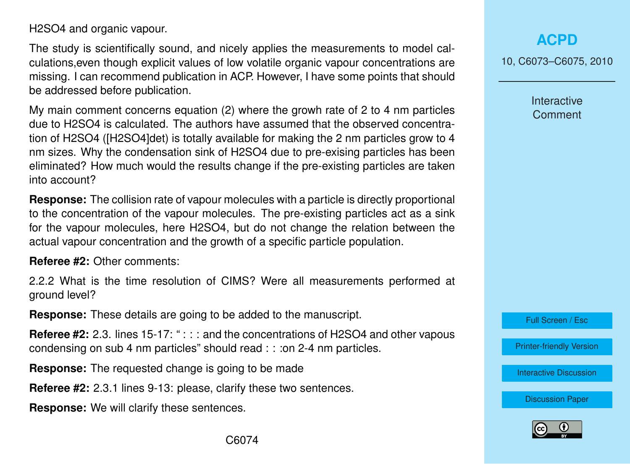H2SO4 and organic vapour.

The study is scientifically sound, and nicely applies the measurements to model calculations,even though explicit values of low volatile organic vapour concentrations are missing. I can recommend publication in ACP. However, I have some points that should be addressed before publication.

My main comment concerns equation (2) where the growh rate of 2 to 4 nm particles due to H2SO4 is calculated. The authors have assumed that the observed concentration of H2SO4 ([H2SO4]det) is totally available for making the 2 nm particles grow to 4 nm sizes. Why the condensation sink of H2SO4 due to pre-exising particles has been eliminated? How much would the results change if the pre-existing particles are taken into account?

**Response:** The collision rate of vapour molecules with a particle is directly proportional to the concentration of the vapour molecules. The pre-existing particles act as a sink for the vapour molecules, here H2SO4, but do not change the relation between the actual vapour concentration and the growth of a specific particle population.

**Referee #2:** Other comments:

2.2.2 What is the time resolution of CIMS? Were all measurements performed at ground level?

**Response:** These details are going to be added to the manuscript.

**Referee #2:** 2.3. lines 15-17: ": : : and the concentrations of H2SO4 and other vapous condensing on sub 4 nm particles" should read : : : on 2-4 nm particles.

**Response:** The requested change is going to be made

**Referee #2:** 2.3.1 lines 9-13: please, clarify these two sentences.

**Response:** We will clarify these sentences.

10, C6073–C6075, 2010

Interactive **Comment** 

Full Screen / Esc

[Printer-friendly Version](http://www.atmos-chem-phys-discuss.net/10/C6073/2010/acpd-10-C6073-2010-print.pdf)

[Interactive Discussion](http://www.atmos-chem-phys-discuss.net/10/11795/2010/acpd-10-11795-2010-discussion.html)

[Discussion Paper](http://www.atmos-chem-phys-discuss.net/10/11795/2010/acpd-10-11795-2010.pdf)